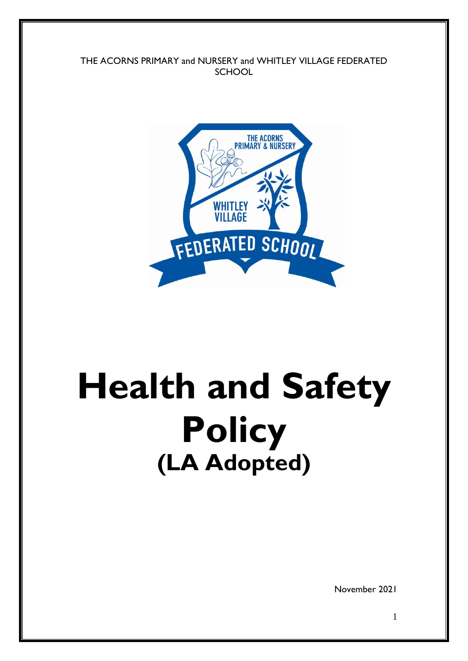THE ACORNS PRIMARY and NURSERY and WHITLEY VILLAGE FEDERATED **SCHOOL** 



# **Health and Safety Policy (LA Adopted)**

November 2021

1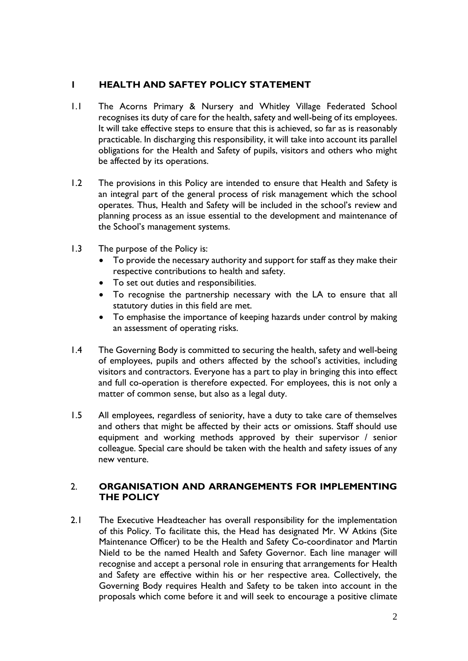## **1 HEALTH AND SAFTEY POLICY STATEMENT**

- 1.1 The Acorns Primary & Nursery and Whitley Village Federated School recognises its duty of care for the health, safety and well-being of its employees. It will take effective steps to ensure that this is achieved, so far as is reasonably practicable. In discharging this responsibility, it will take into account its parallel obligations for the Health and Safety of pupils, visitors and others who might be affected by its operations.
- 1.2 The provisions in this Policy are intended to ensure that Health and Safety is an integral part of the general process of risk management which the school operates. Thus, Health and Safety will be included in the school's review and planning process as an issue essential to the development and maintenance of the School's management systems.
- 1.3 The purpose of the Policy is:
	- To provide the necessary authority and support for staff as they make their respective contributions to health and safety.
	- To set out duties and responsibilities.
	- To recognise the partnership necessary with the LA to ensure that all statutory duties in this field are met.
	- To emphasise the importance of keeping hazards under control by making an assessment of operating risks.
- 1.4 The Governing Body is committed to securing the health, safety and well-being of employees, pupils and others affected by the school's activities, including visitors and contractors. Everyone has a part to play in bringing this into effect and full co-operation is therefore expected. For employees, this is not only a matter of common sense, but also as a legal duty.
- 1.5 All employees, regardless of seniority, have a duty to take care of themselves and others that might be affected by their acts or omissions. Staff should use equipment and working methods approved by their supervisor / senior colleague. Special care should be taken with the health and safety issues of any new venture.

#### 2. **ORGANISATION AND ARRANGEMENTS FOR IMPLEMENTING THE POLICY**

2.1 The Executive Headteacher has overall responsibility for the implementation of this Policy. To facilitate this, the Head has designated Mr. W Atkins (Site Maintenance Officer) to be the Health and Safety Co-coordinator and Martin Nield to be the named Health and Safety Governor. Each line manager will recognise and accept a personal role in ensuring that arrangements for Health and Safety are effective within his or her respective area. Collectively, the Governing Body requires Health and Safety to be taken into account in the proposals which come before it and will seek to encourage a positive climate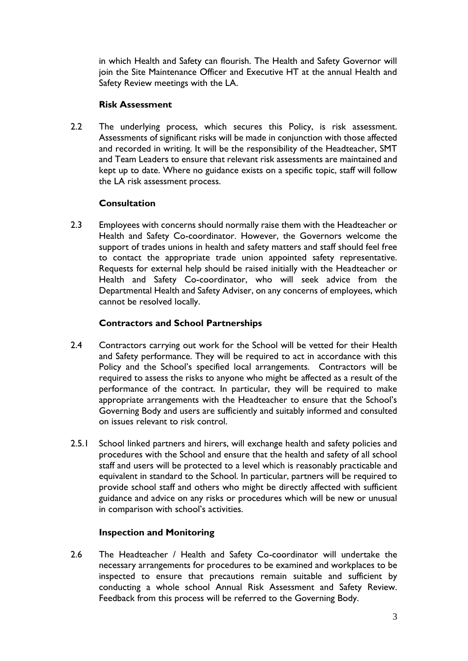in which Health and Safety can flourish. The Health and Safety Governor will join the Site Maintenance Officer and Executive HT at the annual Health and Safety Review meetings with the LA.

#### **Risk Assessment**

2.2 The underlying process, which secures this Policy, is risk assessment. Assessments of significant risks will be made in conjunction with those affected and recorded in writing. It will be the responsibility of the Headteacher, SMT and Team Leaders to ensure that relevant risk assessments are maintained and kept up to date. Where no guidance exists on a specific topic, staff will follow the LA risk assessment process.

## **Consultation**

2.3 Employees with concerns should normally raise them with the Headteacher or Health and Safety Co-coordinator. However, the Governors welcome the support of trades unions in health and safety matters and staff should feel free to contact the appropriate trade union appointed safety representative. Requests for external help should be raised initially with the Headteacher or Health and Safety Co-coordinator, who will seek advice from the Departmental Health and Safety Adviser, on any concerns of employees, which cannot be resolved locally.

## **Contractors and School Partnerships**

- 2.4 Contractors carrying out work for the School will be vetted for their Health and Safety performance. They will be required to act in accordance with this Policy and the School's specified local arrangements. Contractors will be required to assess the risks to anyone who might be affected as a result of the performance of the contract. In particular, they will be required to make appropriate arrangements with the Headteacher to ensure that the School's Governing Body and users are sufficiently and suitably informed and consulted on issues relevant to risk control.
- 2.5.1 School linked partners and hirers, will exchange health and safety policies and procedures with the School and ensure that the health and safety of all school staff and users will be protected to a level which is reasonably practicable and equivalent in standard to the School. In particular, partners will be required to provide school staff and others who might be directly affected with sufficient guidance and advice on any risks or procedures which will be new or unusual in comparison with school's activities.

## **Inspection and Monitoring**

2.6 The Headteacher / Health and Safety Co-coordinator will undertake the necessary arrangements for procedures to be examined and workplaces to be inspected to ensure that precautions remain suitable and sufficient by conducting a whole school Annual Risk Assessment and Safety Review. Feedback from this process will be referred to the Governing Body.